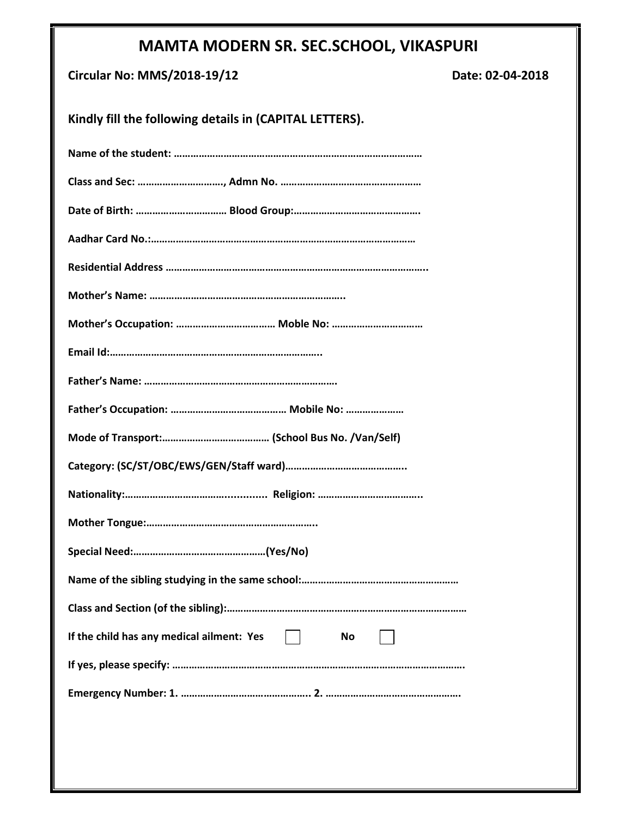## **MAMTA MODERN SR. SEC.SCHOOL, VIKASPURI**

| <b>Circular No: MMS/2018-19/12</b> |  |  |  |  |
|------------------------------------|--|--|--|--|
|------------------------------------|--|--|--|--|

**Circular No: MMS/2018-19/12 Date: 02-04-2018**

| Kindly fill the following details in (CAPITAL LETTERS). |  |  |  |  |
|---------------------------------------------------------|--|--|--|--|
|                                                         |  |  |  |  |
|                                                         |  |  |  |  |
|                                                         |  |  |  |  |
|                                                         |  |  |  |  |
|                                                         |  |  |  |  |
|                                                         |  |  |  |  |
|                                                         |  |  |  |  |
|                                                         |  |  |  |  |
|                                                         |  |  |  |  |
|                                                         |  |  |  |  |
|                                                         |  |  |  |  |
|                                                         |  |  |  |  |
|                                                         |  |  |  |  |
|                                                         |  |  |  |  |
|                                                         |  |  |  |  |
|                                                         |  |  |  |  |
|                                                         |  |  |  |  |
| If the child has any medical ailment: Yes<br>No         |  |  |  |  |
|                                                         |  |  |  |  |
|                                                         |  |  |  |  |